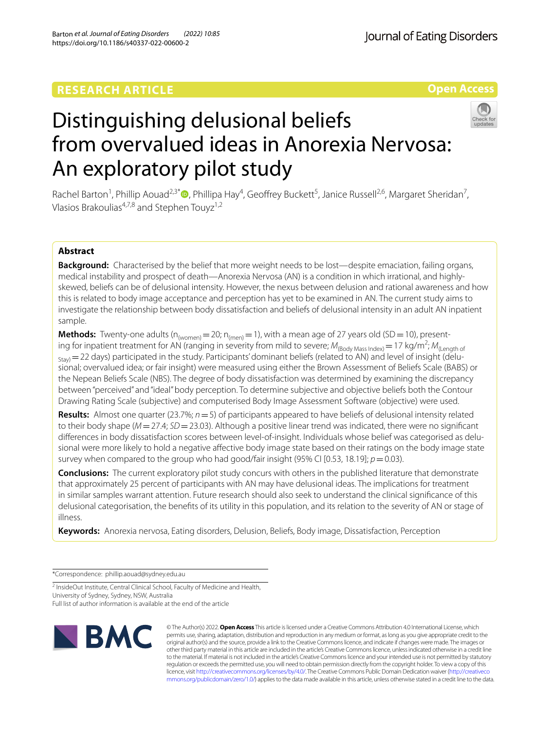# **RESEARCH ARTICLE**

**Open Access**

# Distinguishing delusional beliefs from overvalued ideas in Anorexia Nervosa: An exploratory pilot study

Rachel Barton<sup>1</sup>[,](http://orcid.org/0000-0003-0999-7495) Phillip Aouad<sup>2,3\*</sup><sup>0</sup>, Phillipa Hay<sup>4</sup>, Geoffrey Buckett<sup>5</sup>, Janice Russell<sup>2,6</sup>, Margaret Sheridan<sup>7</sup>, Vlasios Brakoulias<sup>4,7,8</sup> and Stephen Touvz<sup>1,2</sup>

## **Abstract**

**Background:** Characterised by the belief that more weight needs to be lost—despite emaciation, failing organs, medical instability and prospect of death—Anorexia Nervosa (AN) is a condition in which irrational, and highlyskewed, beliefs can be of delusional intensity. However, the nexus between delusion and rational awareness and how this is related to body image acceptance and perception has yet to be examined in AN. The current study aims to investigate the relationship between body dissatisfaction and beliefs of delusional intensity in an adult AN inpatient sample.

**Methods:** Twenty-one adults ( $n_{(woman)} = 20$ ;  $n_{(men)} = 1$ ), with a mean age of 27 years old (SD = 10), presenting for inpatient treatment for AN (ranging in severity from mild to severe;  $M_{(Body Mass Index)} = 17$  kg/m<sup>2</sup>;  $M_{(Length of A)}$  $_{\text{Stav}}$  = 22 days) participated in the study. Participants' dominant beliefs (related to AN) and level of insight (delusional; overvalued idea; or fair insight) were measured using either the Brown Assessment of Beliefs Scale (BABS) or the Nepean Beliefs Scale (NBS). The degree of body dissatisfaction was determined by examining the discrepancy between "perceived" and "ideal" body perception. To determine subjective and objective beliefs both the Contour Drawing Rating Scale (subjective) and computerised Body Image Assessment Software (objective) were used.

**Results:** Almost one quarter (23.7%; *n*=5) of participants appeared to have beliefs of delusional intensity related to their body shape (*M*=27.4; *SD*=23.03). Although a positive linear trend was indicated, there were no signifcant diferences in body dissatisfaction scores between level-of-insight. Individuals whose belief was categorised as delusional were more likely to hold a negative afective body image state based on their ratings on the body image state survey when compared to the group who had good/fair insight (95% CI [0.53, 18.19];  $p = 0.03$ ).

**Conclusions:** The current exploratory pilot study concurs with others in the published literature that demonstrate that approximately 25 percent of participants with AN may have delusional ideas. The implications for treatment in similar samples warrant attention. Future research should also seek to understand the clinical signifcance of this delusional categorisation, the benefts of its utility in this population, and its relation to the severity of AN or stage of illness.

**Keywords:** Anorexia nervosa, Eating disorders, Delusion, Beliefs, Body image, Dissatisfaction, Perception

\*Correspondence: phillip.aouad@sydney.edu.au

<sup>2</sup> InsideOut Institute, Central Clinical School, Faculty of Medicine and Health,

University of Sydney, Sydney, NSW, Australia

Full list of author information is available at the end of the article



© The Author(s) 2022. **Open Access** This article is licensed under a Creative Commons Attribution 4.0 International License, which permits use, sharing, adaptation, distribution and reproduction in any medium or format, as long as you give appropriate credit to the original author(s) and the source, provide a link to the Creative Commons licence, and indicate if changes were made. The images or other third party material in this article are included in the article's Creative Commons licence, unless indicated otherwise in a credit line to the material. If material is not included in the article's Creative Commons licence and your intended use is not permitted by statutory regulation or exceeds the permitted use, you will need to obtain permission directly from the copyright holder. To view a copy of this licence, visit [http://creativecommons.org/licenses/by/4.0/.](http://creativecommons.org/licenses/by/4.0/) The Creative Commons Public Domain Dedication waiver ([http://creativeco](http://creativecommons.org/publicdomain/zero/1.0/) [mmons.org/publicdomain/zero/1.0/](http://creativecommons.org/publicdomain/zero/1.0/)) applies to the data made available in this article, unless otherwise stated in a credit line to the data.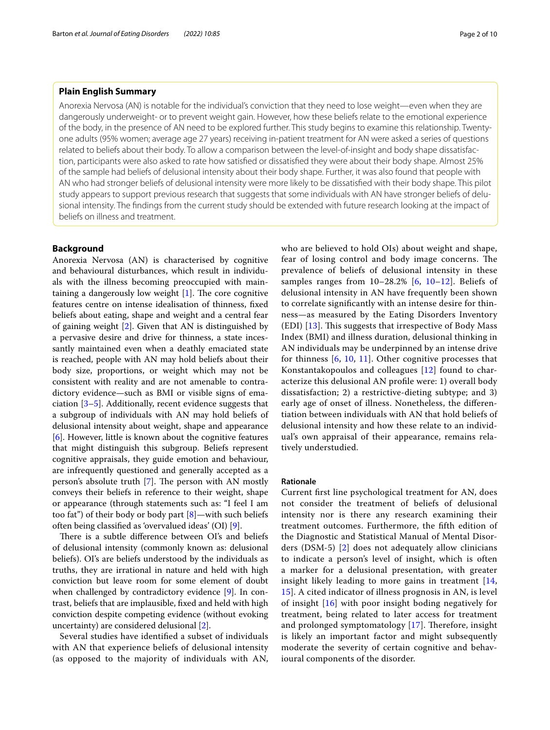#### **Plain English Summary**

Anorexia Nervosa (AN) is notable for the individual's conviction that they need to lose weight—even when they are dangerously underweight- or to prevent weight gain. However, how these beliefs relate to the emotional experience of the body, in the presence of AN need to be explored further. This study begins to examine this relationship. Twentyone adults (95% women; average age 27 years) receiving in-patient treatment for AN were asked a series of questions related to beliefs about their body. To allow a comparison between the level-of-insight and body shape dissatisfaction, participants were also asked to rate how satisfed or dissatisfed they were about their body shape. Almost 25% of the sample had beliefs of delusional intensity about their body shape. Further, it was also found that people with AN who had stronger beliefs of delusional intensity were more likely to be dissatisfed with their body shape. This pilot study appears to support previous research that suggests that some individuals with AN have stronger beliefs of delusional intensity. The fndings from the current study should be extended with future research looking at the impact of beliefs on illness and treatment.

#### **Background**

Anorexia Nervosa (AN) is characterised by cognitive and behavioural disturbances, which result in individuals with the illness becoming preoccupied with maintaining a dangerously low weight  $[1]$  $[1]$ . The core cognitive features centre on intense idealisation of thinness, fxed beliefs about eating, shape and weight and a central fear of gaining weight [[2\]](#page-8-1). Given that AN is distinguished by a pervasive desire and drive for thinness, a state incessantly maintained even when a deathly emaciated state is reached, people with AN may hold beliefs about their body size, proportions, or weight which may not be consistent with reality and are not amenable to contradictory evidence—such as BMI or visible signs of emaciation [[3–](#page-8-2)[5\]](#page-8-3). Additionally, recent evidence suggests that a subgroup of individuals with AN may hold beliefs of delusional intensity about weight, shape and appearance [[6\]](#page-8-4). However, little is known about the cognitive features that might distinguish this subgroup. Beliefs represent cognitive appraisals, they guide emotion and behaviour, are infrequently questioned and generally accepted as a person's absolute truth  $[7]$  $[7]$ . The person with AN mostly conveys their beliefs in reference to their weight, shape or appearance (through statements such as: "I feel I am too fat") of their body or body part [\[8\]](#page-8-6)—with such beliefs often being classifed as 'overvalued ideas' (OI) [[9\]](#page-8-7).

There is a subtle difference between OI's and beliefs of delusional intensity (commonly known as: delusional beliefs). OI's are beliefs understood by the individuals as truths, they are irrational in nature and held with high conviction but leave room for some element of doubt when challenged by contradictory evidence [[9](#page-8-7)]. In contrast, beliefs that are implausible, fxed and held with high conviction despite competing evidence (without evoking uncertainty) are considered delusional [\[2](#page-8-1)].

Several studies have identifed a subset of individuals with AN that experience beliefs of delusional intensity (as opposed to the majority of individuals with AN, who are believed to hold OIs) about weight and shape, fear of losing control and body image concerns. The prevalence of beliefs of delusional intensity in these samples ranges from  $10-28.2\%$  $10-28.2\%$  [[6](#page-8-4),  $10-12$ ]. Beliefs of delusional intensity in AN have frequently been shown to correlate signifcantly with an intense desire for thinness—as measured by the Eating Disorders Inventory  $(EDI)$  [[13\]](#page-8-10). This suggests that irrespective of Body Mass Index (BMI) and illness duration, delusional thinking in AN individuals may be underpinned by an intense drive for thinness  $[6, 10, 11]$  $[6, 10, 11]$  $[6, 10, 11]$  $[6, 10, 11]$  $[6, 10, 11]$ . Other cognitive processes that Konstantakopoulos and colleagues [\[12](#page-8-9)] found to characterize this delusional AN profle were: 1) overall body dissatisfaction; 2) a restrictive-dieting subtype; and 3) early age of onset of illness. Nonetheless, the diferentiation between individuals with AN that hold beliefs of delusional intensity and how these relate to an individual's own appraisal of their appearance, remains relatively understudied.

#### **Rationale**

Current frst line psychological treatment for AN, does not consider the treatment of beliefs of delusional intensity nor is there any research examining their treatment outcomes. Furthermore, the ffth edition of the Diagnostic and Statistical Manual of Mental Disorders (DSM-5) [\[2\]](#page-8-1) does not adequately allow clinicians to indicate a person's level of insight, which is often a marker for a delusional presentation, with greater insight likely leading to more gains in treatment [\[14](#page-8-12), [15\]](#page-8-13). A cited indicator of illness prognosis in AN, is level of insight [\[16](#page-8-14)] with poor insight boding negatively for treatment, being related to later access for treatment and prolonged symptomatology  $[17]$  $[17]$ . Therefore, insight is likely an important factor and might subsequently moderate the severity of certain cognitive and behavioural components of the disorder.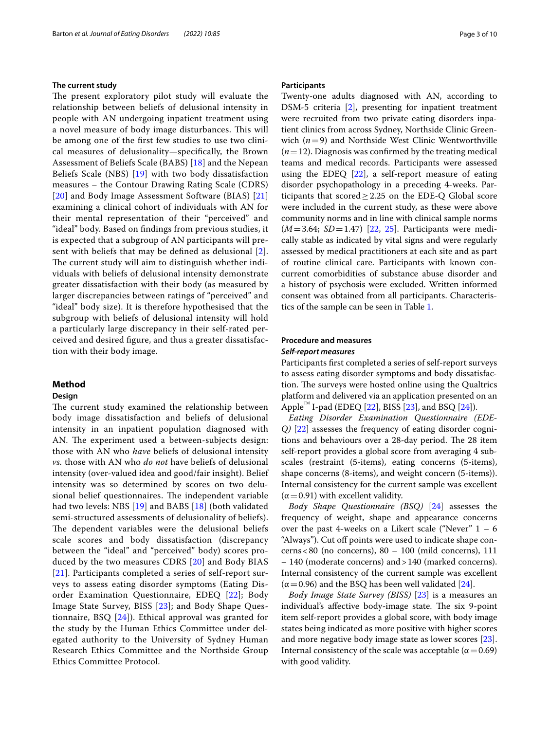#### **The current study**

The present exploratory pilot study will evaluate the relationship between beliefs of delusional intensity in people with AN undergoing inpatient treatment using a novel measure of body image disturbances. This will be among one of the frst few studies to use two clinical measures of delusionality—specifcally, the Brown Assessment of Beliefs Scale (BABS) [\[18](#page-8-16)] and the Nepean Beliefs Scale (NBS) [[19\]](#page-8-17) with two body dissatisfaction measures – the Contour Drawing Rating Scale (CDRS) [[20](#page-8-18)] and Body Image Assessment Software (BIAS) [\[21](#page-9-0)] examining a clinical cohort of individuals with AN for their mental representation of their "perceived" and "ideal" body. Based on fndings from previous studies, it is expected that a subgroup of AN participants will present with beliefs that may be defned as delusional [[2\]](#page-8-1). The current study will aim to distinguish whether individuals with beliefs of delusional intensity demonstrate greater dissatisfaction with their body (as measured by larger discrepancies between ratings of "perceived" and "ideal" body size). It is therefore hypothesised that the subgroup with beliefs of delusional intensity will hold a particularly large discrepancy in their self-rated perceived and desired fgure, and thus a greater dissatisfaction with their body image.

### **Method**

#### **Design**

The current study examined the relationship between body image dissatisfaction and beliefs of delusional intensity in an inpatient population diagnosed with AN. The experiment used a between-subjects design: those with AN who *have* beliefs of delusional intensity *vs.* those with AN who *do not* have beliefs of delusional intensity (over-valued idea and good/fair insight). Belief intensity was so determined by scores on two delusional belief questionnaires. The independent variable had two levels: NBS [\[19](#page-8-17)] and BABS [[18\]](#page-8-16) (both validated semi-structured assessments of delusionality of beliefs). The dependent variables were the delusional beliefs scale scores and body dissatisfaction (discrepancy between the "ideal" and "perceived" body) scores produced by the two measures CDRS [[20\]](#page-8-18) and Body BIAS [[21](#page-9-0)]. Participants completed a series of self-report surveys to assess eating disorder symptoms (Eating Disorder Examination Questionnaire, EDEQ [[22\]](#page-9-1); Body Image State Survey, BISS [[23](#page-9-2)]; and Body Shape Questionnaire, BSQ [\[24](#page-9-3)]). Ethical approval was granted for the study by the Human Ethics Committee under delegated authority to the University of Sydney Human Research Ethics Committee and the Northside Group Ethics Committee Protocol.

#### **Participants**

Twenty-one adults diagnosed with AN, according to DSM-5 criteria [[2\]](#page-8-1), presenting for inpatient treatment were recruited from two private eating disorders inpatient clinics from across Sydney, Northside Clinic Greenwich (*n*=9) and Northside West Clinic Wentworthville  $(n=12)$ . Diagnosis was confirmed by the treating medical teams and medical records. Participants were assessed using the EDEQ [[22](#page-9-1)], a self-report measure of eating disorder psychopathology in a preceding 4-weeks. Participants that scored  $\geq$  2.25 on the EDE-Q Global score were included in the current study, as these were above community norms and in line with clinical sample norms (*M*=3.64; *SD*=1.47) [\[22](#page-9-1), [25\]](#page-9-4). Participants were medically stable as indicated by vital signs and were regularly assessed by medical practitioners at each site and as part of routine clinical care. Participants with known concurrent comorbidities of substance abuse disorder and a history of psychosis were excluded. Written informed consent was obtained from all participants. Characteristics of the sample can be seen in Table [1](#page-3-0).

#### **Procedure and measures** *Self‑report measures*

Participants frst completed a series of self-report surveys to assess eating disorder symptoms and body dissatisfaction. The surveys were hosted online using the Qualtrics platform and delivered via an application presented on an Apple<sup>™</sup> I-pad (EDEQ [\[22](#page-9-1)], BISS [[23](#page-9-2)], and BSQ [[24\]](#page-9-3)).

*Eating Disorder Examination Questionnaire (EDE-Q)* [[22\]](#page-9-1) assesses the frequency of eating disorder cognitions and behaviours over a 28-day period. The 28 item self-report provides a global score from averaging 4 subscales (restraint (5-items), eating concerns (5-items), shape concerns (8-items), and weight concern (5-items)). Internal consistency for the current sample was excellent  $(\alpha = 0.91)$  with excellent validity.

*Body Shape Questionnaire (BSQ)* [[24](#page-9-3)] assesses the frequency of weight, shape and appearance concerns over the past 4-weeks on a Likert scale ("Never" 1 – 6 "Always"). Cut off points were used to indicate shape concerns <80 (no concerns),  $80 - 100$  (mild concerns),  $111$ – 140 (moderate concerns) and>140 (marked concerns). Internal consistency of the current sample was excellent  $(\alpha = 0.96)$  and the BSQ has been well validated [\[24](#page-9-3)].

*Body Image State Survey (BISS)* [\[23\]](#page-9-2) is a measures an individual's affective body-image state. The six 9-point item self-report provides a global score, with body image states being indicated as more positive with higher scores and more negative body image state as lower scores [\[23](#page-9-2)]. Internal consistency of the scale was acceptable ( $\alpha$  = 0.69) with good validity.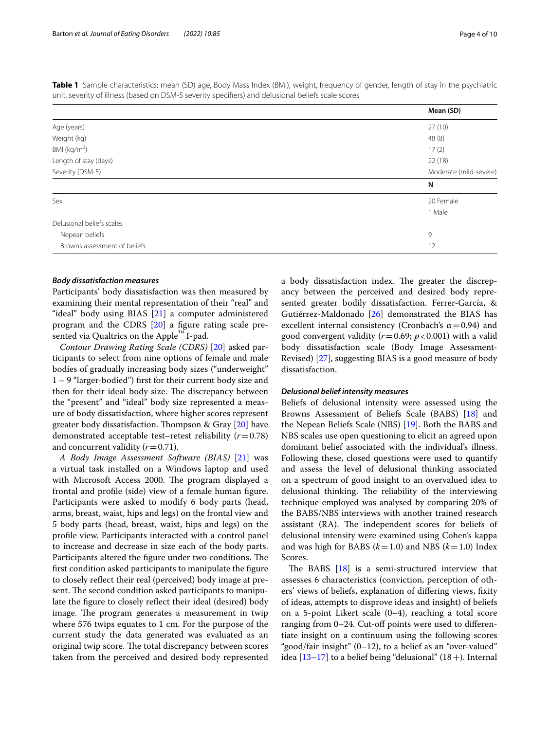|                           | Mean (SD)              |
|---------------------------|------------------------|
| Age (years)               | 27(10)                 |
| Weight (kg)               | 48(8)                  |
| BMI (kg/m <sup>2</sup> )  | 17(2)                  |
| Length of stay (days)     | 22(18)                 |
| Severity (DSM-5)          | Moderate (mild-severe) |
|                           |                        |
|                           | N                      |
| Sex                       | 20 Female              |
|                           | 1 Male                 |
| Delusional beliefs scales |                        |
| Nepean beliefs            | 9                      |

<span id="page-3-0"></span>**Table 1** Sample characteristics: mean (SD) age, Body Mass Index (BMI), weight, frequency of gender, length of stay in the psychiatric unit, severity of illness (based on DSM-5 severity specifers) and delusional beliefs scale scores

#### *Body dissatisfaction measures*

Participants' body dissatisfaction was then measured by examining their mental representation of their "real" and "ideal" body using BIAS [\[21\]](#page-9-0) a computer administered program and the CDRS [\[20](#page-8-18)] a fgure rating scale presented via Qualtrics on the Apple™ I-pad.

*Contour Drawing Rating Scale (CDRS)* [\[20](#page-8-18)] asked participants to select from nine options of female and male bodies of gradually increasing body sizes ("underweight" 1 – 9 "larger-bodied") frst for their current body size and then for their ideal body size. The discrepancy between the "present" and "ideal" body size represented a measure of body dissatisfaction, where higher scores represent greater body dissatisfaction. Thompson & Gray  $[20]$  $[20]$  have demonstrated acceptable test–retest reliability (*r*=0.78) and concurrent validity  $(r=0.71)$ .

*A Body Image Assessment Software (BIAS)* [\[21](#page-9-0)] was a virtual task installed on a Windows laptop and used with Microsoft Access 2000. The program displayed a frontal and profle (side) view of a female human fgure. Participants were asked to modify 6 body parts (head, arms, breast, waist, hips and legs) on the frontal view and 5 body parts (head, breast, waist, hips and legs) on the profle view. Participants interacted with a control panel to increase and decrease in size each of the body parts. Participants altered the figure under two conditions. The frst condition asked participants to manipulate the fgure to closely refect their real (perceived) body image at present. The second condition asked participants to manipulate the fgure to closely refect their ideal (desired) body image. The program generates a measurement in twip where 576 twips equates to 1 cm. For the purpose of the current study the data generated was evaluated as an original twip score. The total discrepancy between scores taken from the perceived and desired body represented a body dissatisfaction index. The greater the discrepancy between the perceived and desired body represented greater bodily dissatisfaction. Ferrer-García, & Gutiérrez-Maldonado [\[26](#page-9-5)] demonstrated the BIAS has excellent internal consistency (Cronbach's  $\alpha$  = 0.94) and good convergent validity (*r*=0.69; *p*<0.001) with a valid body dissatisfaction scale (Body Image Assessment-Revised) [\[27](#page-9-6)], suggesting BIAS is a good measure of body dissatisfaction.

#### *Delusional belief intensity measures*

Beliefs of delusional intensity were assessed using the Browns Assessment of Beliefs Scale (BABS) [\[18\]](#page-8-16) and the Nepean Beliefs Scale (NBS) [[19\]](#page-8-17). Both the BABS and NBS scales use open questioning to elicit an agreed upon dominant belief associated with the individual's illness. Following these, closed questions were used to quantify and assess the level of delusional thinking associated on a spectrum of good insight to an overvalued idea to delusional thinking. The reliability of the interviewing technique employed was analysed by comparing 20% of the BABS/NBS interviews with another trained research assistant (RA). The independent scores for beliefs of delusional intensity were examined using Cohen's kappa and was high for BABS (*k*=1.0) and NBS (*k*=1.0) Index Scores.

The BABS  $[18]$  $[18]$  is a semi-structured interview that assesses 6 characteristics (conviction, perception of others' views of beliefs, explanation of difering views, fxity of ideas, attempts to disprove ideas and insight) of beliefs on a 5-point Likert scale (0–4), reaching a total score ranging from 0–24. Cut-of points were used to diferentiate insight on a continuum using the following scores "good/fair insight" (0–12), to a belief as an "over-valued" idea  $[13-17]$  $[13-17]$  $[13-17]$  to a belief being "delusional"  $(18+)$ . Internal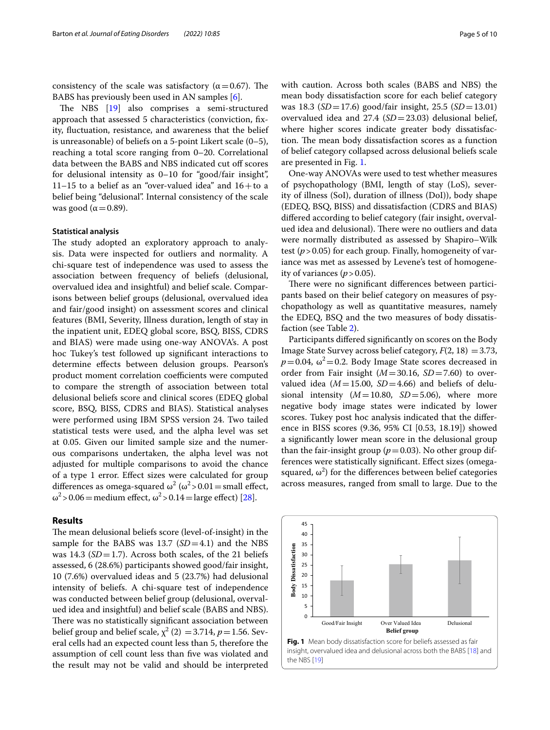consistency of the scale was satisfactory ( $\alpha$  = 0.67). The BABS has previously been used in AN samples [\[6](#page-8-4)].

The NBS  $[19]$  $[19]$  also comprises a semi-structured approach that assessed 5 characteristics (conviction, fxity, fuctuation, resistance, and awareness that the belief is unreasonable) of beliefs on a 5-point Likert scale (0–5), reaching a total score ranging from 0–20. Correlational data between the BABS and NBS indicated cut off scores for delusional intensity as 0–10 for "good/fair insight", 11–15 to a belief as an "over-valued idea" and  $16+$ to a belief being "delusional". Internal consistency of the scale was good ( $\alpha$  = 0.89).

#### **Statistical analysis**

The study adopted an exploratory approach to analysis. Data were inspected for outliers and normality. A chi-square test of independence was used to assess the association between frequency of beliefs (delusional, overvalued idea and insightful) and belief scale. Comparisons between belief groups (delusional, overvalued idea and fair/good insight) on assessment scores and clinical features (BMI, Severity, Illness duration, length of stay in the inpatient unit, EDEQ global score, BSQ, BISS, CDRS and BIAS) were made using one-way ANOVA's. A post hoc Tukey's test followed up signifcant interactions to determine efects between delusion groups. Pearson's product moment correlation coefficients were computed to compare the strength of association between total delusional beliefs score and clinical scores (EDEQ global score, BSQ, BISS, CDRS and BIAS). Statistical analyses were performed using IBM SPSS version 24. Two tailed statistical tests were used, and the alpha level was set at 0.05. Given our limited sample size and the numerous comparisons undertaken, the alpha level was not adjusted for multiple comparisons to avoid the chance of a type 1 error. Efect sizes were calculated for group differences as omega-squared  $\omega^2$  ( $\omega^2$  > 0.01 = small effect,  $\omega^2$  > 0.06 = medium effect,  $\omega^2$  > 0.14 = large effect) [\[28](#page-9-7)].

#### **Results**

The mean delusional beliefs score (level-of-insight) in the sample for the BABS was 13.7 (*SD*=4.1) and the NBS was 14.3 (*SD* = 1.7). Across both scales, of the 21 beliefs assessed, 6 (28.6%) participants showed good/fair insight, 10 (7.6%) overvalued ideas and 5 (23.7%) had delusional intensity of beliefs. A chi-square test of independence was conducted between belief group (delusional, overvalued idea and insightful) and belief scale (BABS and NBS). There was no statistically significant association between belief group and belief scale,  $\chi^2$  (2) = 3.714, *p* = 1.56. Several cells had an expected count less than 5, therefore the assumption of cell count less than fve was violated and the result may not be valid and should be interpreted with caution. Across both scales (BABS and NBS) the mean body dissatisfaction score for each belief category was 18.3 (*SD*=17.6) good/fair insight, 25.5 (*SD*=13.01) overvalued idea and 27.4 (*SD*=23.03) delusional belief, where higher scores indicate greater body dissatisfaction. The mean body dissatisfaction scores as a function of belief category collapsed across delusional beliefs scale are presented in Fig. [1.](#page-4-0)

One-way ANOVAs were used to test whether measures of psychopathology (BMI, length of stay (LoS), severity of illness (SoI), duration of illness (DoI)), body shape (EDEQ, BSQ, BISS) and dissatisfaction (CDRS and BIAS) difered according to belief category (fair insight, overvalued idea and delusional). There were no outliers and data were normally distributed as assessed by Shapiro–Wilk test (*p*>0.05) for each group. Finally, homogeneity of variance was met as assessed by Levene's test of homogeneity of variances  $(p > 0.05)$ .

There were no significant differences between participants based on their belief category on measures of psychopathology as well as quantitative measures, namely the EDEQ, BSQ and the two measures of body dissatisfaction (see Table [2](#page-5-0)).

Participants difered signifcantly on scores on the Body Image State Survey across belief category,  $F(2, 18) = 3.73$ ,  $p=0.04$ ,  $\omega^2=0.2$ . Body Image State scores decreased in order from Fair insight (*M*=30.16, *SD*=7.60) to overvalued idea  $(M=15.00, SD=4.66)$  and beliefs of delusional intensity  $(M=10.80, SD=5.06)$ , where more negative body image states were indicated by lower scores. Tukey post hoc analysis indicated that the diference in BISS scores (9.36, 95% CI [0.53, 18.19]) showed a signifcantly lower mean score in the delusional group than the fair-insight group ( $p=0.03$ ). No other group differences were statistically signifcant. Efect sizes (omegasquared,  $\omega^2$ ) for the differences between belief categories across measures, ranged from small to large. Due to the

<span id="page-4-0"></span>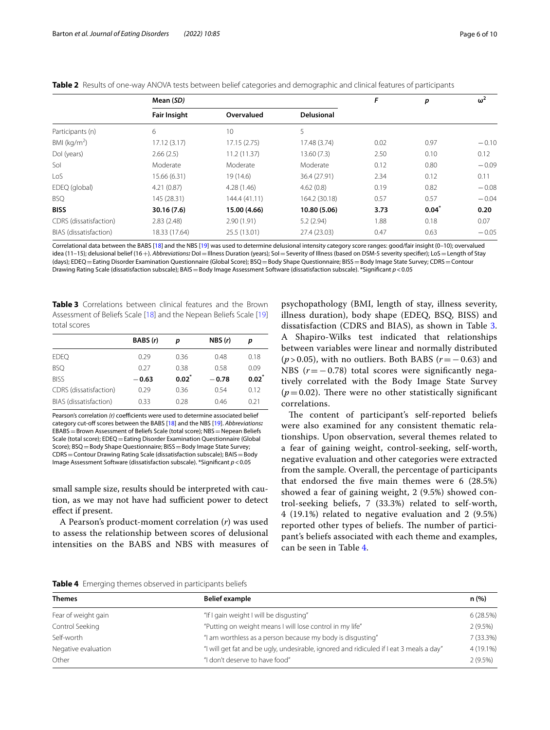<span id="page-5-0"></span>

|  |  | Table 2 Results of one-way ANOVA tests between belief categories and demographic and clinical features of participants |
|--|--|------------------------------------------------------------------------------------------------------------------------|
|  |  |                                                                                                                        |

|                        | Mean (SD)           |               |                   | F    | p        | $\omega^2$ |
|------------------------|---------------------|---------------|-------------------|------|----------|------------|
|                        | <b>Fair Insight</b> | Overvalued    | <b>Delusional</b> |      |          |            |
| Participants (n)       | 6                   | 10            | 5                 |      |          |            |
| BMI ( $kg/m2$ )        | 17.12(3.17)         | 17.15(2.75)   | 17.48 (3.74)      | 0.02 | 0.97     | $-0.10$    |
| Dol (years)            | 2.66(2.5)           | 11.2(11.37)   | 13.60(7.3)        | 2.50 | 0.10     | 0.12       |
| Sol                    | Moderate            | Moderate      | Moderate          | 0.12 | 0.80     | $-0.09$    |
| LoS                    | 15.66 (6.31)        | 19(14.6)      | 36.4 (27.91)      | 2.34 | 0.12     | 0.11       |
| EDEQ (global)          | 4.21(0.87)          | 4.28(1.46)    | 4.62(0.8)         | 0.19 | 0.82     | $-0.08$    |
| <b>BSQ</b>             | 145 (28.31)         | 144.4 (41.11) | 164.2 (30.18)     | 0.57 | 0.57     | $-0.04$    |
| <b>BISS</b>            | 30.16(7.6)          | 15.00 (4.66)  | 10.80 (5.06)      | 3.73 | $0.04^*$ | 0.20       |
| CDRS (dissatisfaction) | 2.83(2.48)          | 2.90(1.91)    | 5.2(2.94)         | 1.88 | 0.18     | 0.07       |
| BIAS (dissatisfaction) | 18.33 (17.64)       | 25.5 (13.01)  | 27.4 (23.03)      | 0.47 | 0.63     | $-0.05$    |

Correlational data between the BABS [[18\]](#page-8-16) and the NBS [\[19\]](#page-8-17) was used to determine delusional intensity category score ranges: good/fair insight (0–10); overvalued idea (11–15); delusional belief (16+). *Abbreviations:* DoI=Illness Duration (years); SoI=Severity of Illness (based on DSM-5 severity specifer); LoS=Length of Stay (days); EDEQ = Eating Disorder Examination Questionnaire (Global Score); BSQ = Body Shape Questionnaire; BISS = Body Image State Survey; CDRS = Contour Drawing Rating Scale (dissatisfaction subscale); BAIS=Body Image Assessment Software (dissatisfaction subscale). \*Signifcant *p*<0.05

<span id="page-5-1"></span>**Table 3** Correlations between clinical features and the Brown Assessment of Beliefs Scale [\[18\]](#page-8-16) and the Nepean Beliefs Scale [\[19](#page-8-17)] total scores

|                        | BABS (r) | p        | NBS(r)  | p        |
|------------------------|----------|----------|---------|----------|
| <b>EDEO</b>            | 0.29     | 0.36     | 0.48    | 0.18     |
| <b>BSQ</b>             | 0.27     | 0.38     | 0.58    | 0.09     |
| <b>BISS</b>            | $-0.63$  | $0.02^*$ | $-0.78$ | $0.02^*$ |
| CDRS (dissatisfaction) | 0.29     | 0.36     | 0.54    | 0.12     |
| BIAS (dissatisfaction) | 0.33     | 0.28     | 0.46    | 0.21     |
|                        |          |          |         |          |

Pearson's correlation (r) coefficients were used to determine associated belief category cut-off scores between the BABS [[18](#page-8-16)] and the NBS [[19\]](#page-8-17). Abbreviations: EBABS = Brown Assessment of Beliefs Scale (total score); NBS = Nepean Beliefs Scale (total score); EDEQ = Eating Disorder Examination Questionnaire (Global Score); BSQ = Body Shape Questionnaire; BISS = Body Image State Survey; CDRS=Contour Drawing Rating Scale (dissatisfaction subscale); BAIS=Body Image Assessment Software (dissatisfaction subscale). \*Signifcant *p*<0.05

small sample size, results should be interpreted with caution, as we may not have had sufficient power to detect efect if present.

A Pearson's product-moment correlation (*r*) was used to assess the relationship between scores of delusional intensities on the BABS and NBS with measures of

psychopathology (BMI, length of stay, illness severity, illness duration), body shape (EDEQ, BSQ, BISS) and dissatisfaction (CDRS and BIAS), as shown in Table [3](#page-5-1). A Shapiro-Wilks test indicated that relationships between variables were linear and normally distributed (*p* > 0.05), with no outliers. Both BABS (*r*=−0.63) and NBS (*r* = −0.78) total scores were significantly negatively correlated with the Body Image State Survey  $(p=0.02)$ . There were no other statistically significant correlations.

The content of participant's self-reported beliefs were also examined for any consistent thematic relationships. Upon observation, several themes related to a fear of gaining weight, control-seeking, self-worth, negative evaluation and other categories were extracted from the sample. Overall, the percentage of participants that endorsed the fve main themes were 6 (28.5%) showed a fear of gaining weight, 2 (9.5%) showed control-seeking beliefs, 7 (33.3%) related to self-worth, 4 (19.1%) related to negative evaluation and 2 (9.5%) reported other types of beliefs. The number of participant's beliefs associated with each theme and examples, can be seen in Table [4.](#page-5-2)

<span id="page-5-2"></span>

|  |  |  |  |  | Table 4 Emerging themes observed in participants beliefs |  |
|--|--|--|--|--|----------------------------------------------------------|--|
|--|--|--|--|--|----------------------------------------------------------|--|

| <b>Themes</b>       | <b>Belief example</b>                                                                   | n (%)      |
|---------------------|-----------------------------------------------------------------------------------------|------------|
| Fear of weight gain | "If I gain weight I will be disgusting"                                                 | 6(28.5%)   |
| Control Seeking     | "Putting on weight means I will lose control in my life"                                | $2(9.5\%)$ |
| Self-worth          | "I am worthless as a person because my body is disqusting"                              | 7(33.3%)   |
| Negative evaluation | "I will get fat and be ugly, undesirable, ignored and ridiculed if I eat 3 meals a day" | 4 (19.1%)  |
| Other               | "I don't deserve to have food"                                                          | $2(9.5\%)$ |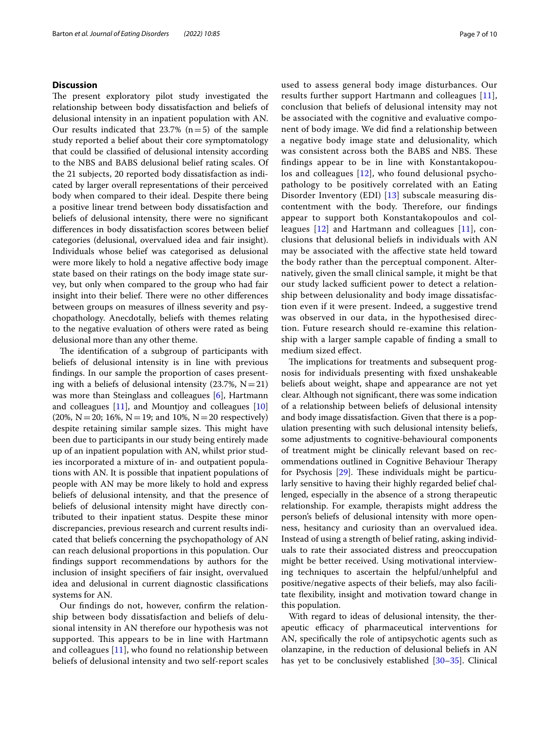#### **Discussion**

The present exploratory pilot study investigated the relationship between body dissatisfaction and beliefs of delusional intensity in an inpatient population with AN. Our results indicated that  $23.7\%$  (n=5) of the sample study reported a belief about their core symptomatology that could be classifed of delusional intensity according to the NBS and BABS delusional belief rating scales. Of the 21 subjects, 20 reported body dissatisfaction as indicated by larger overall representations of their perceived body when compared to their ideal. Despite there being a positive linear trend between body dissatisfaction and beliefs of delusional intensity, there were no signifcant diferences in body dissatisfaction scores between belief categories (delusional, overvalued idea and fair insight). Individuals whose belief was categorised as delusional were more likely to hold a negative afective body image state based on their ratings on the body image state survey, but only when compared to the group who had fair insight into their belief. There were no other differences between groups on measures of illness severity and psychopathology. Anecdotally, beliefs with themes relating to the negative evaluation of others were rated as being delusional more than any other theme.

The identification of a subgroup of participants with beliefs of delusional intensity is in line with previous fndings. In our sample the proportion of cases presenting with a beliefs of delusional intensity (23.7%,  $N=21$ ) was more than Steinglass and colleagues [[6\]](#page-8-4), Hartmann and colleagues [\[11](#page-8-11)], and Mountjoy and colleagues [[10](#page-8-8)] (20%, N = 20; 16%, N = 19; and 10%, N = 20 respectively) despite retaining similar sample sizes. This might have been due to participants in our study being entirely made up of an inpatient population with AN, whilst prior studies incorporated a mixture of in- and outpatient populations with AN. It is possible that inpatient populations of people with AN may be more likely to hold and express beliefs of delusional intensity, and that the presence of beliefs of delusional intensity might have directly contributed to their inpatient status. Despite these minor discrepancies, previous research and current results indicated that beliefs concerning the psychopathology of AN can reach delusional proportions in this population. Our fndings support recommendations by authors for the inclusion of insight specifers of fair insight, overvalued idea and delusional in current diagnostic classifcations systems for AN.

Our fndings do not, however, confrm the relationship between body dissatisfaction and beliefs of delusional intensity in AN therefore our hypothesis was not supported. This appears to be in line with Hartmann and colleagues [[11\]](#page-8-11), who found no relationship between beliefs of delusional intensity and two self-report scales used to assess general body image disturbances. Our results further support Hartmann and colleagues [[11](#page-8-11)], conclusion that beliefs of delusional intensity may not be associated with the cognitive and evaluative component of body image. We did fnd a relationship between a negative body image state and delusionality, which was consistent across both the BABS and NBS. These fndings appear to be in line with Konstantakopoulos and colleagues [[12\]](#page-8-9), who found delusional psychopathology to be positively correlated with an Eating Disorder Inventory (EDI) [[13\]](#page-8-10) subscale measuring discontentment with the body. Therefore, our findings appear to support both Konstantakopoulos and colleagues [\[12](#page-8-9)] and Hartmann and colleagues [[11\]](#page-8-11), conclusions that delusional beliefs in individuals with AN may be associated with the afective state held toward the body rather than the perceptual component. Alternatively, given the small clinical sample, it might be that our study lacked sufficient power to detect a relationship between delusionality and body image dissatisfaction even if it were present. Indeed, a suggestive trend was observed in our data, in the hypothesised direction. Future research should re-examine this relationship with a larger sample capable of fnding a small to medium sized efect.

The implications for treatments and subsequent prognosis for individuals presenting with fxed unshakeable beliefs about weight, shape and appearance are not yet clear. Although not signifcant, there was some indication of a relationship between beliefs of delusional intensity and body image dissatisfaction. Given that there is a population presenting with such delusional intensity beliefs, some adjustments to cognitive-behavioural components of treatment might be clinically relevant based on recommendations outlined in Cognitive Behaviour Therapy for Psychosis  $[29]$ . These individuals might be particularly sensitive to having their highly regarded belief challenged, especially in the absence of a strong therapeutic relationship. For example, therapists might address the person's beliefs of delusional intensity with more openness, hesitancy and curiosity than an overvalued idea. Instead of using a strength of belief rating, asking individuals to rate their associated distress and preoccupation might be better received. Using motivational interviewing techniques to ascertain the helpful/unhelpful and positive/negative aspects of their beliefs, may also facilitate fexibility, insight and motivation toward change in this population.

With regard to ideas of delusional intensity, the therapeutic efficacy of pharmaceutical interventions for AN, specifcally the role of antipsychotic agents such as olanzapine, in the reduction of delusional beliefs in AN has yet to be conclusively established [[30–](#page-9-9)[35](#page-9-10)]. Clinical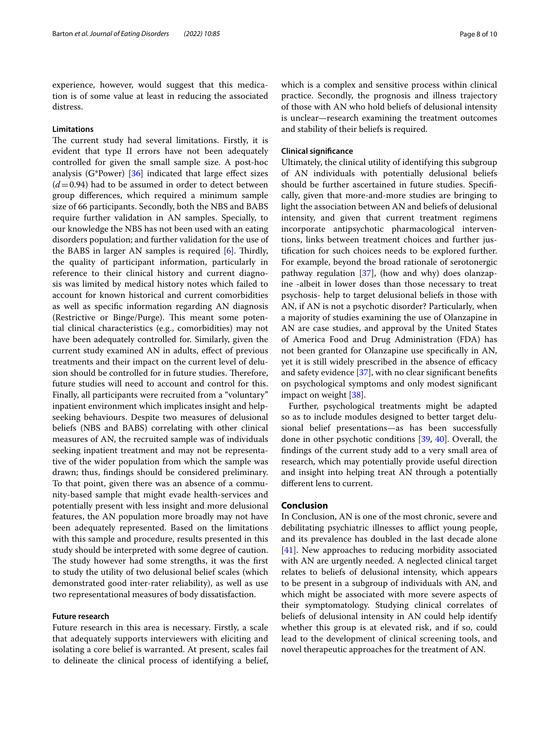experience, however, would suggest that this medication is of some value at least in reducing the associated distress.

#### **Limitations**

The current study had several limitations. Firstly, it is evident that type II errors have not been adequately controlled for given the small sample size. A post-hoc analysis (G\*Power)  $[36]$  $[36]$  indicated that large effect sizes  $(d=0.94)$  had to be assumed in order to detect between group diferences, which required a minimum sample size of 66 participants. Secondly, both the NBS and BABS require further validation in AN samples. Specially, to our knowledge the NBS has not been used with an eating disorders population; and further validation for the use of the BABS in larger AN samples is required  $[6]$  $[6]$ . Thirdly, the quality of participant information, particularly in reference to their clinical history and current diagnosis was limited by medical history notes which failed to account for known historical and current comorbidities as well as specifc information regarding AN diagnosis (Restrictive or Binge/Purge). This meant some potential clinical characteristics (e.g., comorbidities) may not have been adequately controlled for. Similarly, given the current study examined AN in adults, efect of previous treatments and their impact on the current level of delusion should be controlled for in future studies. Therefore, future studies will need to account and control for this. Finally, all participants were recruited from a "voluntary" inpatient environment which implicates insight and helpseeking behaviours. Despite two measures of delusional beliefs (NBS and BABS) correlating with other clinical measures of AN, the recruited sample was of individuals seeking inpatient treatment and may not be representative of the wider population from which the sample was drawn; thus, fndings should be considered preliminary. To that point, given there was an absence of a community-based sample that might evade health-services and potentially present with less insight and more delusional features, the AN population more broadly may not have been adequately represented. Based on the limitations with this sample and procedure, results presented in this study should be interpreted with some degree of caution. The study however had some strengths, it was the first to study the utility of two delusional belief scales (which demonstrated good inter-rater reliability), as well as use two representational measures of body dissatisfaction.

#### **Future research**

Future research in this area is necessary. Firstly, a scale that adequately supports interviewers with eliciting and isolating a core belief is warranted. At present, scales fail to delineate the clinical process of identifying a belief, which is a complex and sensitive process within clinical practice. Secondly, the prognosis and illness trajectory of those with AN who hold beliefs of delusional intensity is unclear—research examining the treatment outcomes and stability of their beliefs is required.

#### **Clinical signifcance**

Ultimately, the clinical utility of identifying this subgroup of AN individuals with potentially delusional beliefs should be further ascertained in future studies. Specifcally, given that more-and-more studies are bringing to light the association between AN and beliefs of delusional intensity, and given that current treatment regimens incorporate antipsychotic pharmacological interventions, links between treatment choices and further justifcation for such choices needs to be explored further. For example, beyond the broad rationale of serotonergic pathway regulation [\[37](#page-9-12)], (how and why) does olanzapine -albeit in lower doses than those necessary to treat psychosis- help to target delusional beliefs in those with AN, if AN is not a psychotic disorder? Particularly, when a majority of studies examining the use of Olanzapine in AN are case studies, and approval by the United States of America Food and Drug Administration (FDA) has not been granted for Olanzapine use specifcally in AN, yet it is still widely prescribed in the absence of efficacy and safety evidence [\[37\]](#page-9-12), with no clear signifcant benefts on psychological symptoms and only modest signifcant impact on weight [\[38\]](#page-9-13).

Further, psychological treatments might be adapted so as to include modules designed to better target delusional belief presentations—as has been successfully done in other psychotic conditions [\[39](#page-9-14), [40](#page-9-15)]. Overall, the fndings of the current study add to a very small area of research, which may potentially provide useful direction and insight into helping treat AN through a potentially diferent lens to current.

#### **Conclusion**

In Conclusion, AN is one of the most chronic, severe and debilitating psychiatric illnesses to afflict young people, and its prevalence has doubled in the last decade alone [[41\]](#page-9-16). New approaches to reducing morbidity associated with AN are urgently needed. A neglected clinical target relates to beliefs of delusional intensity, which appears to be present in a subgroup of individuals with AN, and which might be associated with more severe aspects of their symptomatology. Studying clinical correlates of beliefs of delusional intensity in AN could help identify whether this group is at elevated risk, and if so, could lead to the development of clinical screening tools, and novel therapeutic approaches for the treatment of AN.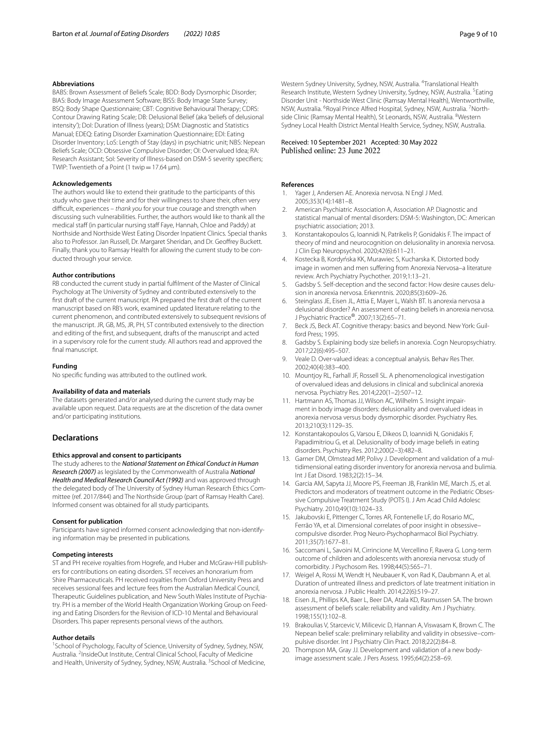#### **Abbreviations**

BABS: Brown Assessment of Beliefs Scale; BDD: Body Dysmorphic Disorder; BIAS: Body Image Assessment Software; BISS: Body Image State Survey; BSQ: Body Shape Questionnaire; CBT: Cognitive Behavioural Therapy; CDRS: Contour Drawing Rating Scale; DB: Delusional Belief (aka 'beliefs of delusional intensity'); DoI: Duration of Illness (years); DSM: Diagnostic and Statistics Manual; EDEQ: Eating Disorder Examination Questionnaire; EDI: Eating Disorder Inventory; LoS: Length of Stay (days) in psychiatric unit; NBS: Nepean Beliefs Scale; OCD: Obsessive Compulsive Disorder; OI: Overvalued Idea; RA: Research Assistant; Sol: Severity of Illness-based on DSM-5 severity specifiers; TWIP: Twentieth of a Point (1 twip=17.64 μm).

#### **Acknowledgements**

The authors would like to extend their gratitude to the participants of this study who gave their time and for their willingness to share their, often very difcult, experiences – *thank you* for your true courage and strength when discussing such vulnerabilities. Further, the authors would like to thank all the medical staff (in particular nursing staff Faye, Hannah, Chloe and Paddy) at Northside and Northside West Eating Disorder Inpatient Clinics. Special thanks also to Professor. Jan Russell, Dr. Margaret Sheridan, and Dr. Geofrey Buckett. Finally, thank you to Ramsay Health for allowing the current study to be conducted through your service.

#### **Author contributions**

RB conducted the current study in partial fulflment of the Master of Clinical Psychology at The University of Sydney and contributed extensively to the frst draft of the current manuscript. PA prepared the frst draft of the current manuscript based on RB's work, examined updated literature relating to the current phenomenon, and contributed extensively to subsequent revisions of the manuscript. JR, GB, MS, JR, PH, ST contributed extensively to the direction and editing of the frst, and subsequent, drafts of the manuscript and acted in a supervisory role for the current study. All authors read and approved the final manuscript.

#### **Funding**

No specifc funding was attributed to the outlined work.

#### **Availability of data and materials**

The datasets generated and/or analysed during the current study may be available upon request. Data requests are at the discretion of the data owner and/or participating institutions.

#### **Declarations**

#### **Ethics approval and consent to participants**

The study adheres to the *National Statement on Ethical Conduct in Human Research (2007)* as legislated by the Commonwealth of Australia *National Health and Medical Research Council Act (1992)* and was approved through the delegated body of The University of Sydney Human Research Ethics Committee (ref. 2017/844) and The Northside Group (part of Ramsay Health Care). Informed consent was obtained for all study participants.

#### **Consent for publication**

Participants have signed informed consent acknowledging that non-identifying information may be presented in publications.

#### **Competing interests**

ST and PH receive royalties from Hogrefe, and Huber and McGraw-Hill publishers for contributions on eating disorders. ST receives an honorarium from Shire Pharmaceuticals. PH received royalties from Oxford University Press and receives sessional fees and lecture fees from the Australian Medical Council, Therapeutic Guidelines publication, and New South Wales Institute of Psychiatry. PH is a member of the World Health Organization Working Group on Feeding and Eating Disorders for the Revision of ICD-10 Mental and Behavioural Disorders. This paper represents personal views of the authors.

#### **Author details**

<sup>1</sup> School of Psychology, Faculty of Science, University of Sydney, Sydney, NSW, Australia. <sup>2</sup> InsideOut Institute, Central Clinical School, Faculty of Medicine and Health, University of Sydney, Sydney, NSW, Australia. <sup>3</sup>School of Medicine,

Western Sydney University, Sydney, NSW, Australia. <sup>4</sup>Translational Health Research Institute, Western Sydney University, Sydney, NSW, Australia. <sup>5</sup>Eating Disorder Unit - Northside West Clinic (Ramsay Mental Health), Wentworthville, NSW, Australia. <sup>6</sup> Royal Prince Alfred Hospital, Sydney, NSW, Australia. <sup>7</sup> Northside Clinic (Ramsay Mental Health), St Leonards, NSW, Australia. <sup>8</sup>Western Sydney Local Health District Mental Health Service, Sydney, NSW, Australia.

# Received: 10 September 2021 Accepted: 30 May 2022

#### **References**

- <span id="page-8-0"></span>Yager J, Andersen AE. Anorexia nervosa. N Engl J Med. 2005;353(14):1481–8.
- <span id="page-8-1"></span>2. American Psychiatric Association A, Association AP. Diagnostic and statistical manual of mental disorders: DSM-5: Washington, DC: American psychiatric association; 2013.
- <span id="page-8-2"></span>3. Konstantakopoulos G, Ioannidi N, Patrikelis P, Gonidakis F. The impact of theory of mind and neurocognition on delusionality in anorexia nervosa. J Clin Exp Neuropsychol. 2020;42(6):611–21.
- 4. Kostecka B, Kordyńska KK, Murawiec S, Kucharska K. Distorted body image in women and men sufering from Anorexia Nervosa–a literature review. Arch Psychiatry Psychother. 2019;1:13–21.
- <span id="page-8-3"></span>5. Gadsby S. Self-deception and the second factor: How desire causes delusion in anorexia nervosa. Erkenntnis. 2020;85(3):609–26.
- <span id="page-8-4"></span>6. Steinglass JE, Eisen JL, Attia E, Mayer L, Walsh BT. Is anorexia nervosa a delusional disorder? An assessment of eating beliefs in anorexia nervosa. J Psychiatric Practice®. 2007;13(2):65–71.
- <span id="page-8-5"></span>Beck JS, Beck AT. Cognitive therapy: basics and beyond. New York: Guilford Press; 1995.
- <span id="page-8-6"></span>8. Gadsby S. Explaining body size beliefs in anorexia. Cogn Neuropsychiatry. 2017;22(6):495–507.
- <span id="page-8-7"></span>9. Veale D. Over-valued ideas: a conceptual analysis. Behav Res Ther. 2002;40(4):383–400.
- <span id="page-8-8"></span>10. Mountjoy RL, Farhall JF, Rossell SL. A phenomenological investigation of overvalued ideas and delusions in clinical and subclinical anorexia nervosa. Psychiatry Res. 2014;220(1–2):507–12.
- <span id="page-8-11"></span>11. Hartmann AS, Thomas JJ, Wilson AC, Wilhelm S. Insight impairment in body image disorders: delusionality and overvalued ideas in anorexia nervosa versus body dysmorphic disorder. Psychiatry Res. 2013;210(3):1129–35.
- <span id="page-8-9"></span>12. Konstantakopoulos G, Varsou E, Dikeos D, Ioannidi N, Gonidakis F, Papadimitriou G, et al. Delusionality of body image beliefs in eating disorders. Psychiatry Res. 2012;200(2–3):482–8.
- <span id="page-8-10"></span>13. Garner DM, Olmstead MP, Polivy J. Development and validation of a multidimensional eating disorder inventory for anorexia nervosa and bulimia. Int J Eat Disord. 1983;2(2):15–34.
- <span id="page-8-12"></span>14. Garcia AM, Sapyta JJ, Moore PS, Freeman JB, Franklin ME, March JS, et al. Predictors and moderators of treatment outcome in the Pediatric Obsessive Compulsive Treatment Study (POTS I). J Am Acad Child Adolesc Psychiatry. 2010;49(10):1024–33.
- <span id="page-8-13"></span>15. Jakubovski E, Pittenger C, Torres AR, Fontenelle LF, do Rosario MC, Ferrão YA, et al. Dimensional correlates of poor insight in obsessive– compulsive disorder. Prog Neuro-Psychopharmacol Biol Psychiatry. 2011;35(7):1677–81.
- <span id="page-8-14"></span>16. Saccomani L, Savoini M, Cirrincione M, Vercellino F, Ravera G. Long-term outcome of children and adolescents with anorexia nervosa: study of comorbidity. J Psychosom Res. 1998;44(5):565–71.
- <span id="page-8-15"></span>17. Weigel A, Rossi M, Wendt H, Neubauer K, von Rad K, Daubmann A, et al. Duration of untreated illness and predictors of late treatment initiation in anorexia nervosa. J Public Health. 2014;22(6):519–27.
- <span id="page-8-16"></span>18. Eisen JL, Phillips KA, Baer L, Beer DA, Atala KD, Rasmussen SA. The brown assessment of beliefs scale: reliability and validity. Am J Psychiatry. 1998;155(1):102–8.
- <span id="page-8-17"></span>19. Brakoulias V, Starcevic V, Milicevic D, Hannan A, Viswasam K, Brown C. The Nepean belief scale: preliminary reliability and validity in obsessive–compulsive disorder. Int J Psychiatry Clin Pract. 2018;22(2):84–8.
- <span id="page-8-18"></span>20. Thompson MA, Gray JJ. Development and validation of a new bodyimage assessment scale. J Pers Assess. 1995;64(2):258–69.